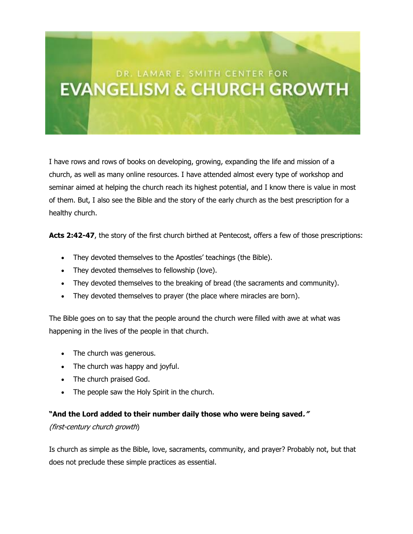## DR. LAMAR E. SMITH CENTER FOR **EVANGELISM & CHURCH GROWTH**

I have rows and rows of books on developing, growing, expanding the life and mission of a church, as well as many online resources. I have attended almost every type of workshop and seminar aimed at helping the church reach its highest potential, and I know there is value in most of them. But, I also see the Bible and the story of the early church as the best prescription for a healthy church.

Acts 2:42-47, the story of the first church birthed at Pentecost, offers a few of those prescriptions:

- They devoted themselves to the Apostles' teachings (the Bible).
- They devoted themselves to fellowship (love).
- They devoted themselves to the breaking of bread (the sacraments and community).
- They devoted themselves to prayer (the place where miracles are born).

The Bible goes on to say that the people around the church were filled with awe at what was happening in the lives of the people in that church.

- The church was generous.
- The church was happy and joyful.
- The church praised God.
- The people saw the Holy Spirit in the church.

## **"And the Lord added to their number daily those who were being saved."**

## (first-century church growth)

Is church as simple as the Bible, love, sacraments, community, and prayer? Probably not, but that does not preclude these simple practices as essential.